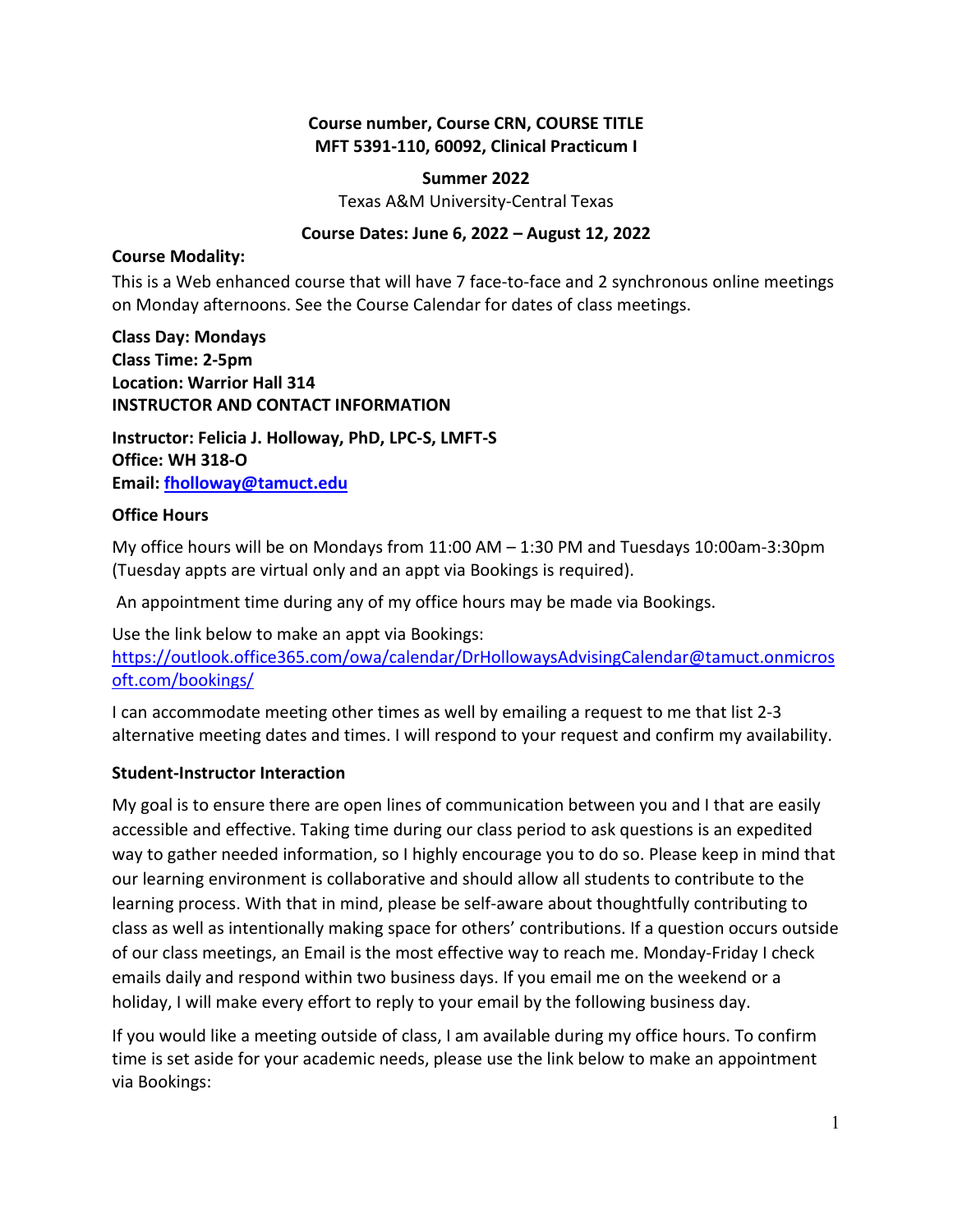#### **Course number, Course CRN, COURSE TITLE MFT 5391-110, 60092, Clinical Practicum I**

#### **Summer 2022**

Texas A&M University-Central Texas

#### **Course Dates: June 6, 2022 – August 12, 2022**

#### **Course Modality:**

This is a Web enhanced course that will have 7 face-to-face and 2 synchronous online meetings on Monday afternoons. See the Course Calendar for dates of class meetings.

**Class Day: Mondays Class Time: 2-5pm Location: Warrior Hall 314 INSTRUCTOR AND CONTACT INFORMATION**

**Instructor: Felicia J. Holloway, PhD, LPC-S, LMFT-S Office: WH 318-O Email: [fholloway@tamuct.edu](mailto:fholloway@tamuct.edu)**

#### **Office Hours**

My office hours will be on Mondays from 11:00 AM – 1:30 PM and Tuesdays 10:00am-3:30pm (Tuesday appts are virtual only and an appt via Bookings is required).

An appointment time during any of my office hours may be made via Bookings.

Use the link below to make an appt via Bookings: [https://outlook.office365.com/owa/calendar/DrHollowaysAdvisingCalendar@tamuct.onmicros](https://outlook.office365.com/owa/calendar/DrHollowaysAdvisingCalendar@tamuct.onmicrosoft.com/bookings/) [oft.com/bookings/](https://outlook.office365.com/owa/calendar/DrHollowaysAdvisingCalendar@tamuct.onmicrosoft.com/bookings/) 

I can accommodate meeting other times as well by emailing a request to me that list 2-3 alternative meeting dates and times. I will respond to your request and confirm my availability.

### **Student-Instructor Interaction**

My goal is to ensure there are open lines of communication between you and I that are easily accessible and effective. Taking time during our class period to ask questions is an expedited way to gather needed information, so I highly encourage you to do so. Please keep in mind that our learning environment is collaborative and should allow all students to contribute to the learning process. With that in mind, please be self-aware about thoughtfully contributing to class as well as intentionally making space for others' contributions. If a question occurs outside of our class meetings, an Email is the most effective way to reach me. Monday-Friday I check emails daily and respond within two business days. If you email me on the weekend or a holiday, I will make every effort to reply to your email by the following business day.

If you would like a meeting outside of class, I am available during my office hours. To confirm time is set aside for your academic needs, please use the link below to make an appointment via Bookings: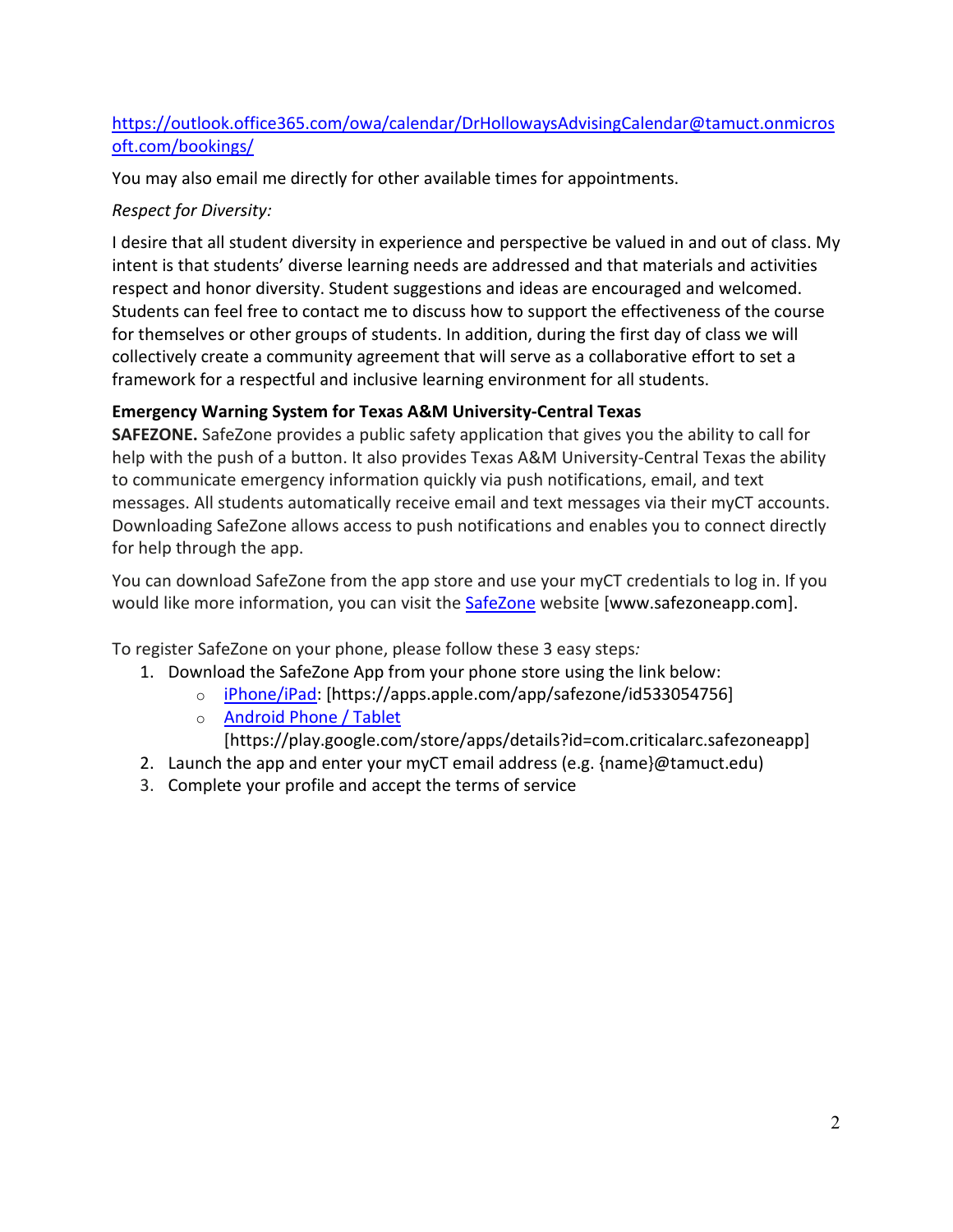## [https://outlook.office365.com/owa/calendar/DrHollowaysAdvisingCalendar@tamuct.onmicros](https://outlook.office365.com/owa/calendar/DrHollowaysAdvisingCalendar@tamuct.onmicrosoft.com/bookings/) [oft.com/bookings/](https://outlook.office365.com/owa/calendar/DrHollowaysAdvisingCalendar@tamuct.onmicrosoft.com/bookings/)

You may also email me directly for other available times for appointments.

## *Respect for Diversity:*

I desire that all student diversity in experience and perspective be valued in and out of class. My intent is that students' diverse learning needs are addressed and that materials and activities respect and honor diversity. Student suggestions and ideas are encouraged and welcomed. Students can feel free to contact me to discuss how to support the effectiveness of the course for themselves or other groups of students. In addition, during the first day of class we will collectively create a community agreement that will serve as a collaborative effort to set a framework for a respectful and inclusive learning environment for all students.

## **Emergency Warning System for Texas A&M University-Central Texas**

**SAFEZONE.** SafeZone provides a public safety application that gives you the ability to call for help with the push of a button. It also provides Texas A&M University-Central Texas the ability to communicate emergency information quickly via push notifications, email, and text messages. All students automatically receive email and text messages via their myCT accounts. Downloading SafeZone allows access to push notifications and enables you to connect directly for help through the app.

You can download SafeZone from the app store and use your myCT credentials to log in. If you would like more information, you can visit the [SafeZone](http://www.safezoneapp.com/) website [www.safezoneapp.com].

To register SafeZone on your phone, please follow these 3 easy steps*:* 

- 1. Download the SafeZone App from your phone store using the link below:
	- o [iPhone/iPad:](https://apps.apple.com/app/safezone/id533054756) [https://apps.apple.com/app/safezone/id533054756]
		- o [Android Phone / Tablet](https://play.google.com/store/apps/details?id=com.criticalarc.safezoneapp)
	- [https://play.google.com/store/apps/details?id=com.criticalarc.safezoneapp]
- 2. Launch the app and enter your myCT email address (e.g. {name}@tamuct.edu)
- 3. Complete your profile and accept the terms of service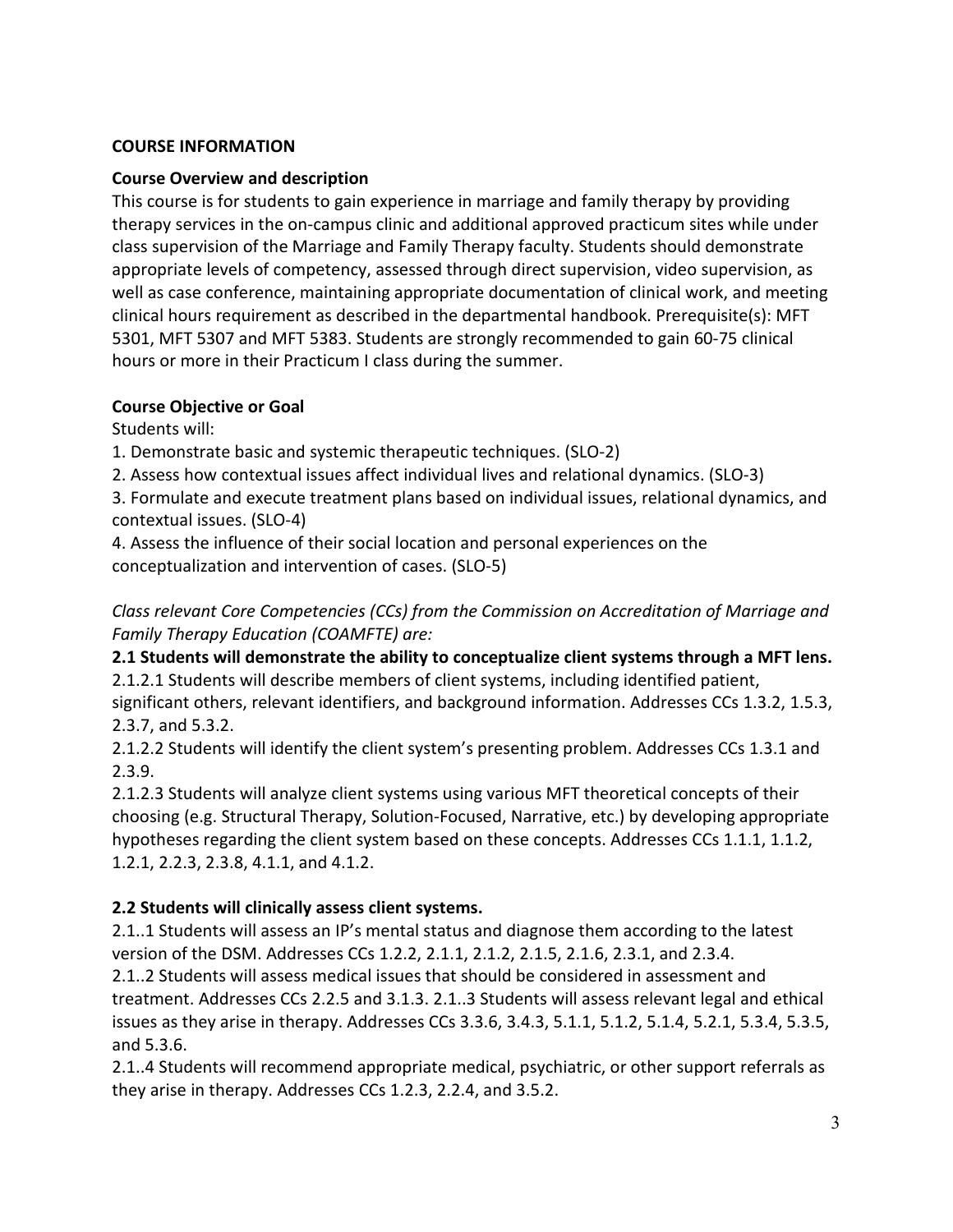#### **COURSE INFORMATION**

#### **Course Overview and description**

This course is for students to gain experience in marriage and family therapy by providing therapy services in the on-campus clinic and additional approved practicum sites while under class supervision of the Marriage and Family Therapy faculty. Students should demonstrate appropriate levels of competency, assessed through direct supervision, video supervision, as well as case conference, maintaining appropriate documentation of clinical work, and meeting clinical hours requirement as described in the departmental handbook. Prerequisite(s): MFT 5301, MFT 5307 and MFT 5383. Students are strongly recommended to gain 60-75 clinical hours or more in their Practicum I class during the summer.

### **Course Objective or Goal**

Students will:

1. Demonstrate basic and systemic therapeutic techniques. (SLO-2)

2. Assess how contextual issues affect individual lives and relational dynamics. (SLO-3)

3. Formulate and execute treatment plans based on individual issues, relational dynamics, and contextual issues. (SLO-4)

4. Assess the influence of their social location and personal experiences on the conceptualization and intervention of cases. (SLO-5)

*Class relevant Core Competencies (CCs) from the Commission on Accreditation of Marriage and Family Therapy Education (COAMFTE) are:* 

**2.1 Students will demonstrate the ability to conceptualize client systems through a MFT lens.** 2.1.2.1 Students will describe members of client systems, including identified patient, significant others, relevant identifiers, and background information. Addresses CCs 1.3.2, 1.5.3, 2.3.7, and 5.3.2.

2.1.2.2 Students will identify the client system's presenting problem. Addresses CCs 1.3.1 and 2.3.9.

2.1.2.3 Students will analyze client systems using various MFT theoretical concepts of their choosing (e.g. Structural Therapy, Solution-Focused, Narrative, etc.) by developing appropriate hypotheses regarding the client system based on these concepts. Addresses CCs 1.1.1, 1.1.2, 1.2.1, 2.2.3, 2.3.8, 4.1.1, and 4.1.2.

### **2.2 Students will clinically assess client systems.**

2.1..1 Students will assess an IP's mental status and diagnose them according to the latest version of the DSM. Addresses CCs 1.2.2, 2.1.1, 2.1.2, 2.1.5, 2.1.6, 2.3.1, and 2.3.4. 2.1..2 Students will assess medical issues that should be considered in assessment and treatment. Addresses CCs 2.2.5 and 3.1.3. 2.1..3 Students will assess relevant legal and ethical issues as they arise in therapy. Addresses CCs 3.3.6, 3.4.3, 5.1.1, 5.1.2, 5.1.4, 5.2.1, 5.3.4, 5.3.5, and 5.3.6.

2.1..4 Students will recommend appropriate medical, psychiatric, or other support referrals as they arise in therapy. Addresses CCs 1.2.3, 2.2.4, and 3.5.2.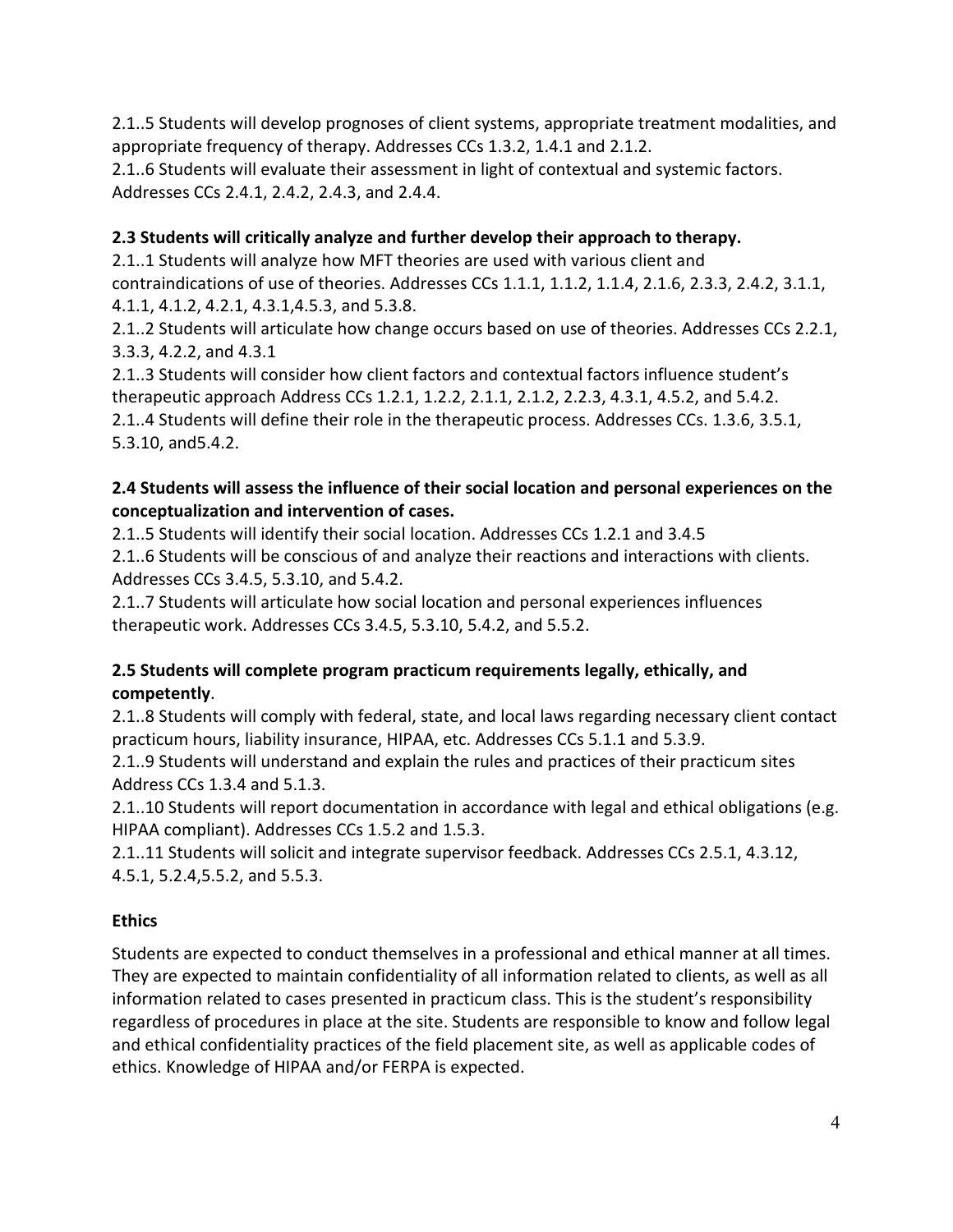2.1..5 Students will develop prognoses of client systems, appropriate treatment modalities, and appropriate frequency of therapy. Addresses CCs 1.3.2, 1.4.1 and 2.1.2.

2.1..6 Students will evaluate their assessment in light of contextual and systemic factors. Addresses CCs 2.4.1, 2.4.2, 2.4.3, and 2.4.4.

# **2.3 Students will critically analyze and further develop their approach to therapy.**

2.1..1 Students will analyze how MFT theories are used with various client and contraindications of use of theories. Addresses CCs 1.1.1, 1.1.2, 1.1.4, 2.1.6, 2.3.3, 2.4.2, 3.1.1, 4.1.1, 4.1.2, 4.2.1, 4.3.1,4.5.3, and 5.3.8.

2.1..2 Students will articulate how change occurs based on use of theories. Addresses CCs 2.2.1, 3.3.3, 4.2.2, and 4.3.1

2.1..3 Students will consider how client factors and contextual factors influence student's therapeutic approach Address CCs 1.2.1, 1.2.2, 2.1.1, 2.1.2, 2.2.3, 4.3.1, 4.5.2, and 5.4.2.

2.1..4 Students will define their role in the therapeutic process. Addresses CCs. 1.3.6, 3.5.1, 5.3.10, and5.4.2.

## **2.4 Students will assess the influence of their social location and personal experiences on the conceptualization and intervention of cases.**

2.1..5 Students will identify their social location. Addresses CCs 1.2.1 and 3.4.5 2.1..6 Students will be conscious of and analyze their reactions and interactions with clients. Addresses CCs 3.4.5, 5.3.10, and 5.4.2.

2.1..7 Students will articulate how social location and personal experiences influences therapeutic work. Addresses CCs 3.4.5, 5.3.10, 5.4.2, and 5.5.2.

## **2.5 Students will complete program practicum requirements legally, ethically, and competently**.

2.1..8 Students will comply with federal, state, and local laws regarding necessary client contact practicum hours, liability insurance, HIPAA, etc. Addresses CCs 5.1.1 and 5.3.9.

2.1..9 Students will understand and explain the rules and practices of their practicum sites Address CCs 1.3.4 and 5.1.3.

2.1..10 Students will report documentation in accordance with legal and ethical obligations (e.g. HIPAA compliant). Addresses CCs 1.5.2 and 1.5.3.

2.1..11 Students will solicit and integrate supervisor feedback. Addresses CCs 2.5.1, 4.3.12, 4.5.1, 5.2.4,5.5.2, and 5.5.3.

## **Ethics**

Students are expected to conduct themselves in a professional and ethical manner at all times. They are expected to maintain confidentiality of all information related to clients, as well as all information related to cases presented in practicum class. This is the student's responsibility regardless of procedures in place at the site. Students are responsible to know and follow legal and ethical confidentiality practices of the field placement site, as well as applicable codes of ethics. Knowledge of HIPAA and/or FERPA is expected.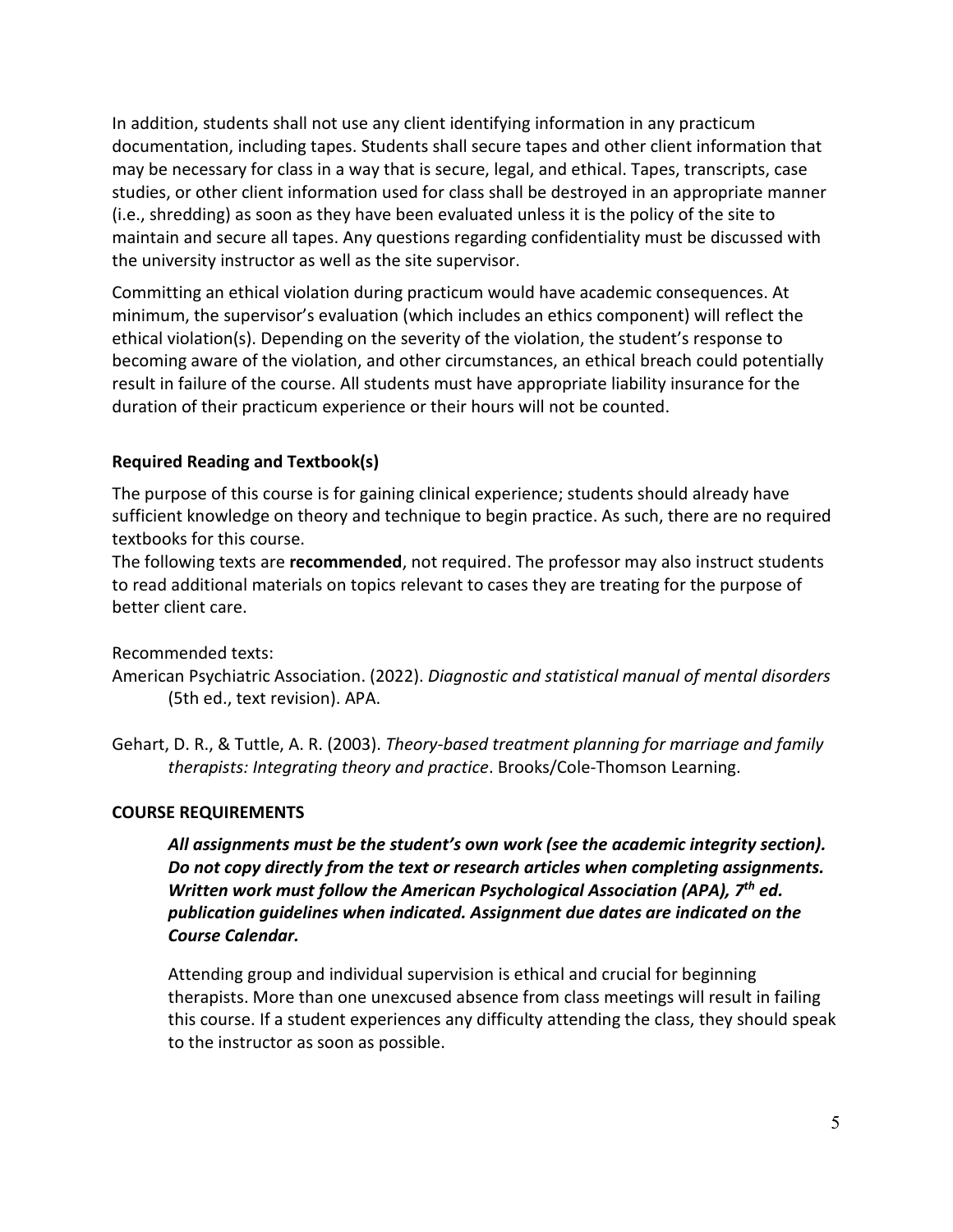In addition, students shall not use any client identifying information in any practicum documentation, including tapes. Students shall secure tapes and other client information that may be necessary for class in a way that is secure, legal, and ethical. Tapes, transcripts, case studies, or other client information used for class shall be destroyed in an appropriate manner (i.e., shredding) as soon as they have been evaluated unless it is the policy of the site to maintain and secure all tapes. Any questions regarding confidentiality must be discussed with the university instructor as well as the site supervisor.

Committing an ethical violation during practicum would have academic consequences. At minimum, the supervisor's evaluation (which includes an ethics component) will reflect the ethical violation(s). Depending on the severity of the violation, the student's response to becoming aware of the violation, and other circumstances, an ethical breach could potentially result in failure of the course. All students must have appropriate liability insurance for the duration of their practicum experience or their hours will not be counted.

### **Required Reading and Textbook(s)**

The purpose of this course is for gaining clinical experience; students should already have sufficient knowledge on theory and technique to begin practice. As such, there are no required textbooks for this course.

The following texts are **recommended**, not required. The professor may also instruct students to read additional materials on topics relevant to cases they are treating for the purpose of better client care.

Recommended texts:

American Psychiatric Association. (2022). *Diagnostic and statistical manual of mental disorders* (5th ed., text revision). APA.

Gehart, D. R., & Tuttle, A. R. (2003). *Theory-based treatment planning for marriage and family therapists: Integrating theory and practice*. Brooks/Cole-Thomson Learning.

### **COURSE REQUIREMENTS**

*All assignments must be the student's own work (see the academic integrity section). Do not copy directly from the text or research articles when completing assignments. Written work must follow the American Psychological Association (APA), 7th ed. publication guidelines when indicated. Assignment due dates are indicated on the Course Calendar.*

Attending group and individual supervision is ethical and crucial for beginning therapists. More than one unexcused absence from class meetings will result in failing this course. If a student experiences any difficulty attending the class, they should speak to the instructor as soon as possible.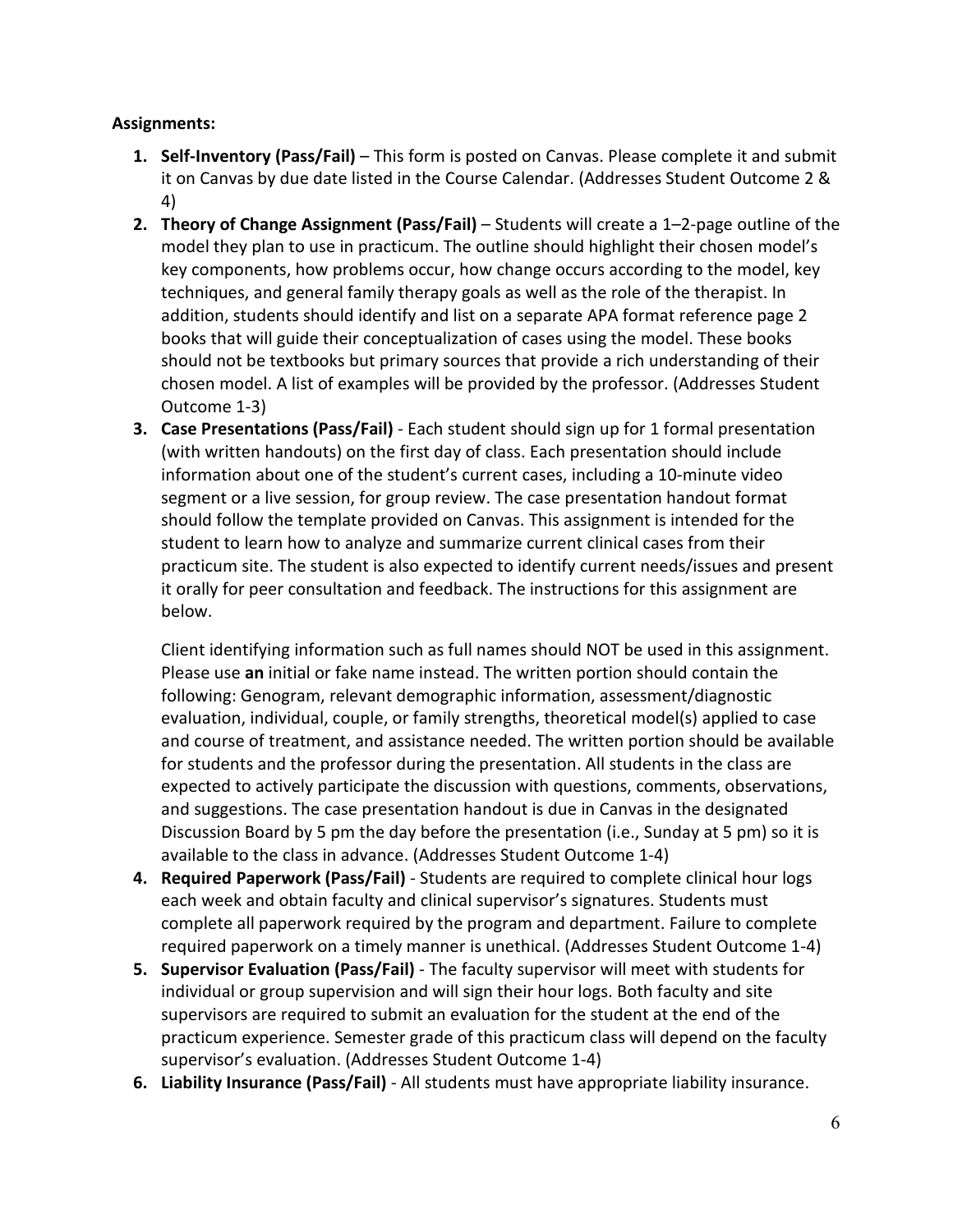#### **Assignments:**

- **1. Self-Inventory (Pass/Fail)** This form is posted on Canvas. Please complete it and submit it on Canvas by due date listed in the Course Calendar. (Addresses Student Outcome 2 & 4)
- **2. Theory of Change Assignment (Pass/Fail)** Students will create a 1–2-page outline of the model they plan to use in practicum. The outline should highlight their chosen model's key components, how problems occur, how change occurs according to the model, key techniques, and general family therapy goals as well as the role of the therapist. In addition, students should identify and list on a separate APA format reference page 2 books that will guide their conceptualization of cases using the model. These books should not be textbooks but primary sources that provide a rich understanding of their chosen model. A list of examples will be provided by the professor. (Addresses Student Outcome 1-3)
- **3. Case Presentations (Pass/Fail)** Each student should sign up for 1 formal presentation (with written handouts) on the first day of class. Each presentation should include information about one of the student's current cases, including a 10-minute video segment or a live session, for group review. The case presentation handout format should follow the template provided on Canvas. This assignment is intended for the student to learn how to analyze and summarize current clinical cases from their practicum site. The student is also expected to identify current needs/issues and present it orally for peer consultation and feedback. The instructions for this assignment are below.

Client identifying information such as full names should NOT be used in this assignment. Please use **an** initial or fake name instead. The written portion should contain the following: Genogram, relevant demographic information, assessment/diagnostic evaluation, individual, couple, or family strengths, theoretical model(s) applied to case and course of treatment, and assistance needed. The written portion should be available for students and the professor during the presentation. All students in the class are expected to actively participate the discussion with questions, comments, observations, and suggestions. The case presentation handout is due in Canvas in the designated Discussion Board by 5 pm the day before the presentation (i.e., Sunday at 5 pm) so it is available to the class in advance. (Addresses Student Outcome 1-4)

- **4. Required Paperwork (Pass/Fail)**  Students are required to complete clinical hour logs each week and obtain faculty and clinical supervisor's signatures. Students must complete all paperwork required by the program and department. Failure to complete required paperwork on a timely manner is unethical. (Addresses Student Outcome 1-4)
- **5. Supervisor Evaluation (Pass/Fail)** The faculty supervisor will meet with students for individual or group supervision and will sign their hour logs. Both faculty and site supervisors are required to submit an evaluation for the student at the end of the practicum experience. Semester grade of this practicum class will depend on the faculty supervisor's evaluation. (Addresses Student Outcome 1-4)
- **6. Liability Insurance (Pass/Fail)** All students must have appropriate liability insurance.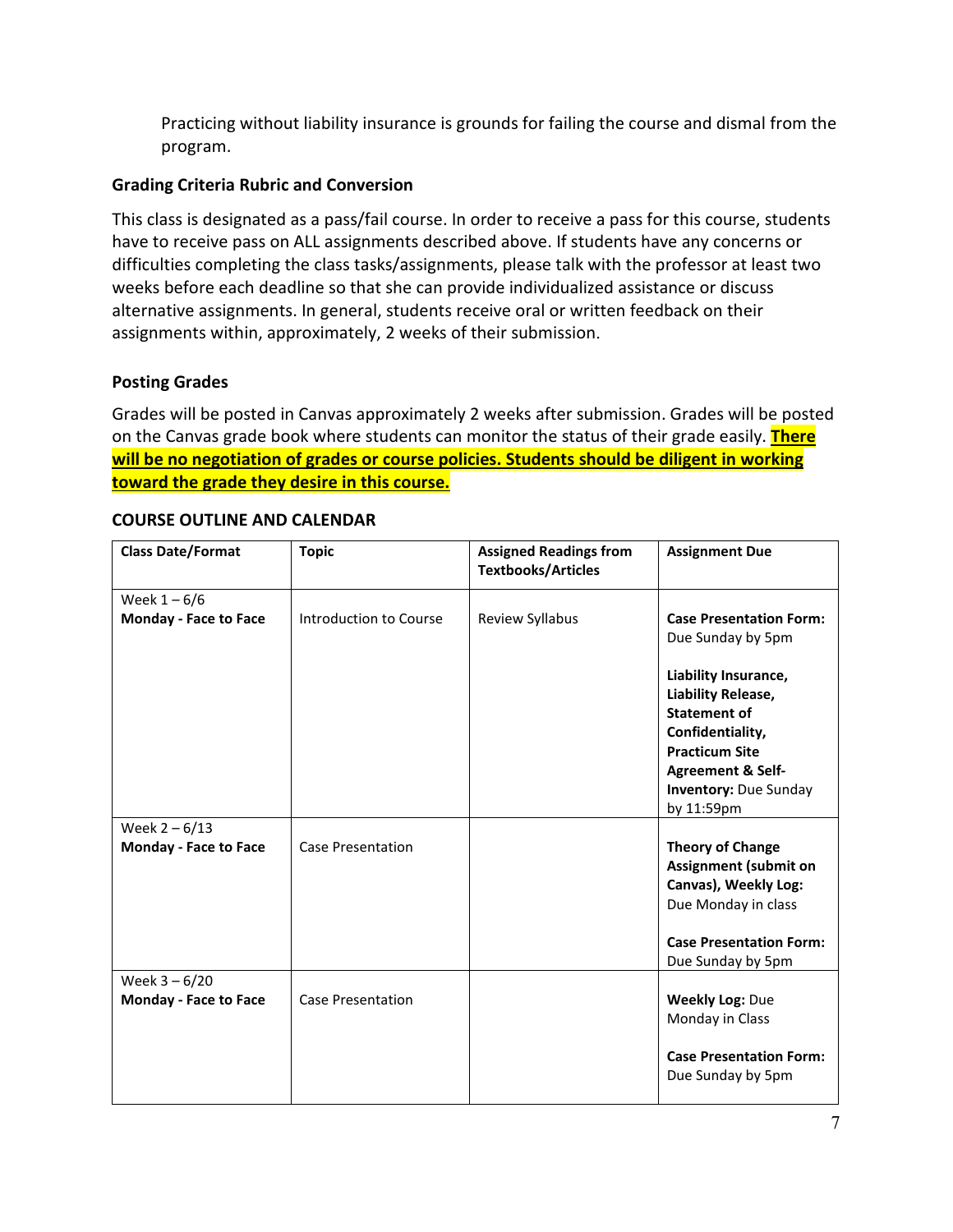Practicing without liability insurance is grounds for failing the course and dismal from the program.

### **Grading Criteria Rubric and Conversion**

This class is designated as a pass/fail course. In order to receive a pass for this course, students have to receive pass on ALL assignments described above. If students have any concerns or difficulties completing the class tasks/assignments, please talk with the professor at least two weeks before each deadline so that she can provide individualized assistance or discuss alternative assignments. In general, students receive oral or written feedback on their assignments within, approximately, 2 weeks of their submission.

#### **Posting Grades**

Grades will be posted in Canvas approximately 2 weeks after submission. Grades will be posted on the Canvas grade book where students can monitor the status of their grade easily. **There will be no negotiation of grades or course policies. Students should be diligent in working toward the grade they desire in this course.**

| <b>Class Date/Format</b>                        | <b>Topic</b>             | <b>Assigned Readings from</b><br><b>Textbooks/Articles</b> | <b>Assignment Due</b>                                                                                                                                                                        |
|-------------------------------------------------|--------------------------|------------------------------------------------------------|----------------------------------------------------------------------------------------------------------------------------------------------------------------------------------------------|
| Week $1 - 6/6$                                  |                          |                                                            |                                                                                                                                                                                              |
| Monday - Face to Face                           | Introduction to Course   | Review Syllabus                                            | <b>Case Presentation Form:</b><br>Due Sunday by 5pm                                                                                                                                          |
|                                                 |                          |                                                            | Liability Insurance,<br>Liability Release,<br><b>Statement of</b><br>Confidentiality,<br><b>Practicum Site</b><br><b>Agreement &amp; Self-</b><br><b>Inventory: Due Sunday</b><br>by 11:59pm |
| Week $2 - 6/13$                                 |                          |                                                            |                                                                                                                                                                                              |
| <b>Monday - Face to Face</b>                    | <b>Case Presentation</b> |                                                            | <b>Theory of Change</b><br><b>Assignment (submit on</b><br>Canvas), Weekly Log:<br>Due Monday in class<br><b>Case Presentation Form:</b>                                                     |
|                                                 |                          |                                                            | Due Sunday by 5pm                                                                                                                                                                            |
| Week $3 - 6/20$<br><b>Monday - Face to Face</b> | <b>Case Presentation</b> |                                                            | <b>Weekly Log: Due</b><br>Monday in Class<br><b>Case Presentation Form:</b>                                                                                                                  |
|                                                 |                          |                                                            | Due Sunday by 5pm                                                                                                                                                                            |

#### **COURSE OUTLINE AND CALENDAR**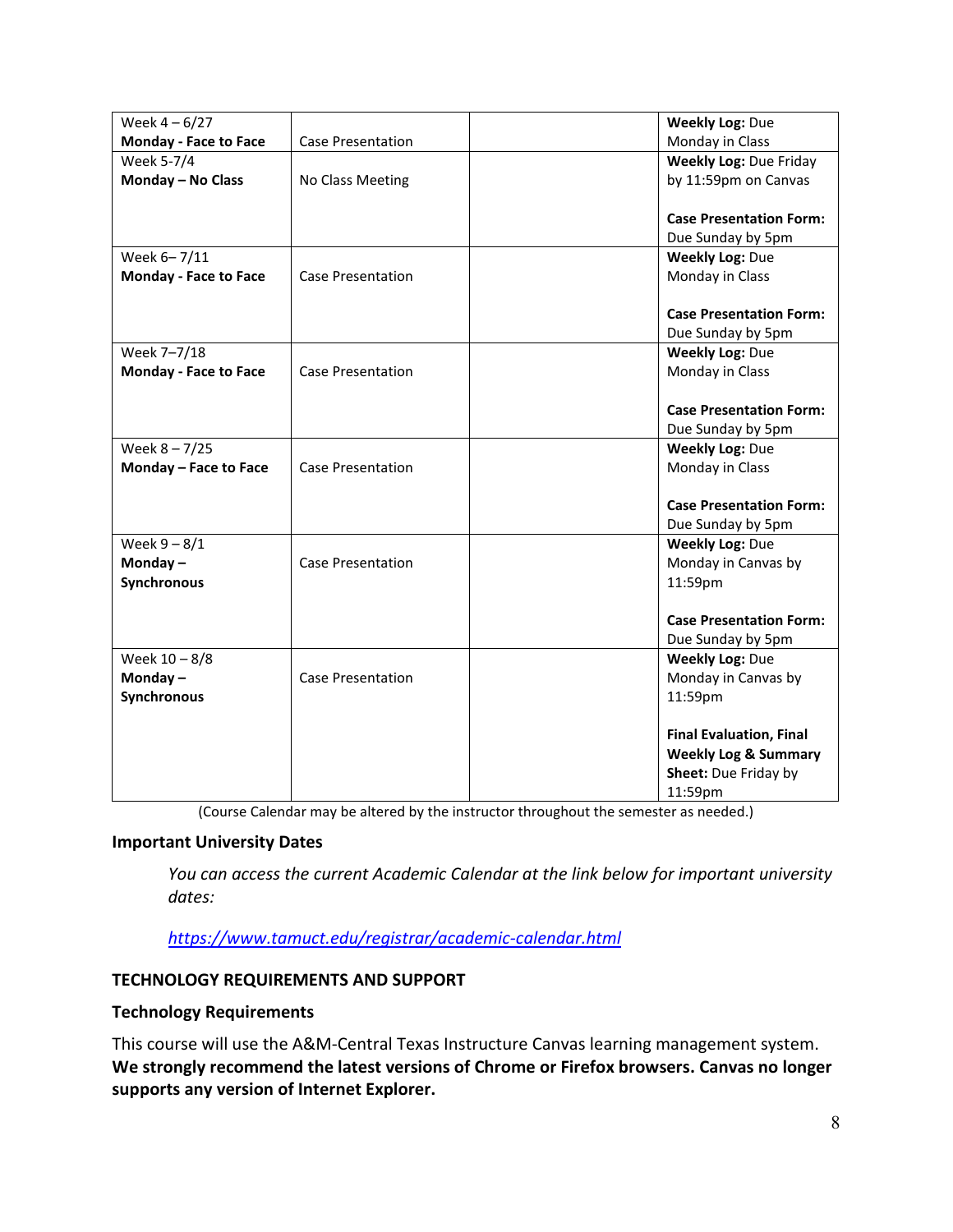| Week $4 - 6/27$              |                          | <b>Weekly Log: Due</b>          |
|------------------------------|--------------------------|---------------------------------|
| <b>Monday - Face to Face</b> | <b>Case Presentation</b> | Monday in Class                 |
| Week 5-7/4                   |                          | <b>Weekly Log: Due Friday</b>   |
| Monday - No Class            | No Class Meeting         | by 11:59pm on Canvas            |
|                              |                          |                                 |
|                              |                          | <b>Case Presentation Form:</b>  |
|                              |                          | Due Sunday by 5pm               |
| Week 6-7/11                  |                          | <b>Weekly Log: Due</b>          |
| <b>Monday - Face to Face</b> | <b>Case Presentation</b> | Monday in Class                 |
|                              |                          |                                 |
|                              |                          | <b>Case Presentation Form:</b>  |
|                              |                          | Due Sunday by 5pm               |
| Week 7-7/18                  |                          | <b>Weekly Log: Due</b>          |
| <b>Monday - Face to Face</b> | <b>Case Presentation</b> | Monday in Class                 |
|                              |                          |                                 |
|                              |                          | <b>Case Presentation Form:</b>  |
|                              |                          | Due Sunday by 5pm               |
| Week $8 - 7/25$              |                          | <b>Weekly Log: Due</b>          |
| Monday - Face to Face        | <b>Case Presentation</b> | Monday in Class                 |
|                              |                          |                                 |
|                              |                          | <b>Case Presentation Form:</b>  |
|                              |                          | Due Sunday by 5pm               |
| Week $9 - 8/1$               |                          | <b>Weekly Log: Due</b>          |
| Monday $-$                   | <b>Case Presentation</b> | Monday in Canvas by             |
| Synchronous                  |                          | 11:59pm                         |
|                              |                          |                                 |
|                              |                          | <b>Case Presentation Form:</b>  |
|                              |                          | Due Sunday by 5pm               |
| Week $10 - 8/8$              |                          | <b>Weekly Log: Due</b>          |
| Monday-                      | <b>Case Presentation</b> | Monday in Canvas by             |
| Synchronous                  |                          | 11:59pm                         |
|                              |                          |                                 |
|                              |                          | <b>Final Evaluation, Final</b>  |
|                              |                          | <b>Weekly Log &amp; Summary</b> |
|                              |                          | Sheet: Due Friday by            |
|                              |                          | 11:59pm                         |

(Course Calendar may be altered by the instructor throughout the semester as needed.)

### **Important University Dates**

*You can access the current Academic Calendar at the link below for important university dates:*

*<https://www.tamuct.edu/registrar/academic-calendar.html>*

### **TECHNOLOGY REQUIREMENTS AND SUPPORT**

#### **Technology Requirements**

This course will use the A&M-Central Texas Instructure Canvas learning management system. **We strongly recommend the latest versions of Chrome or Firefox browsers. Canvas no longer supports any version of Internet Explorer.**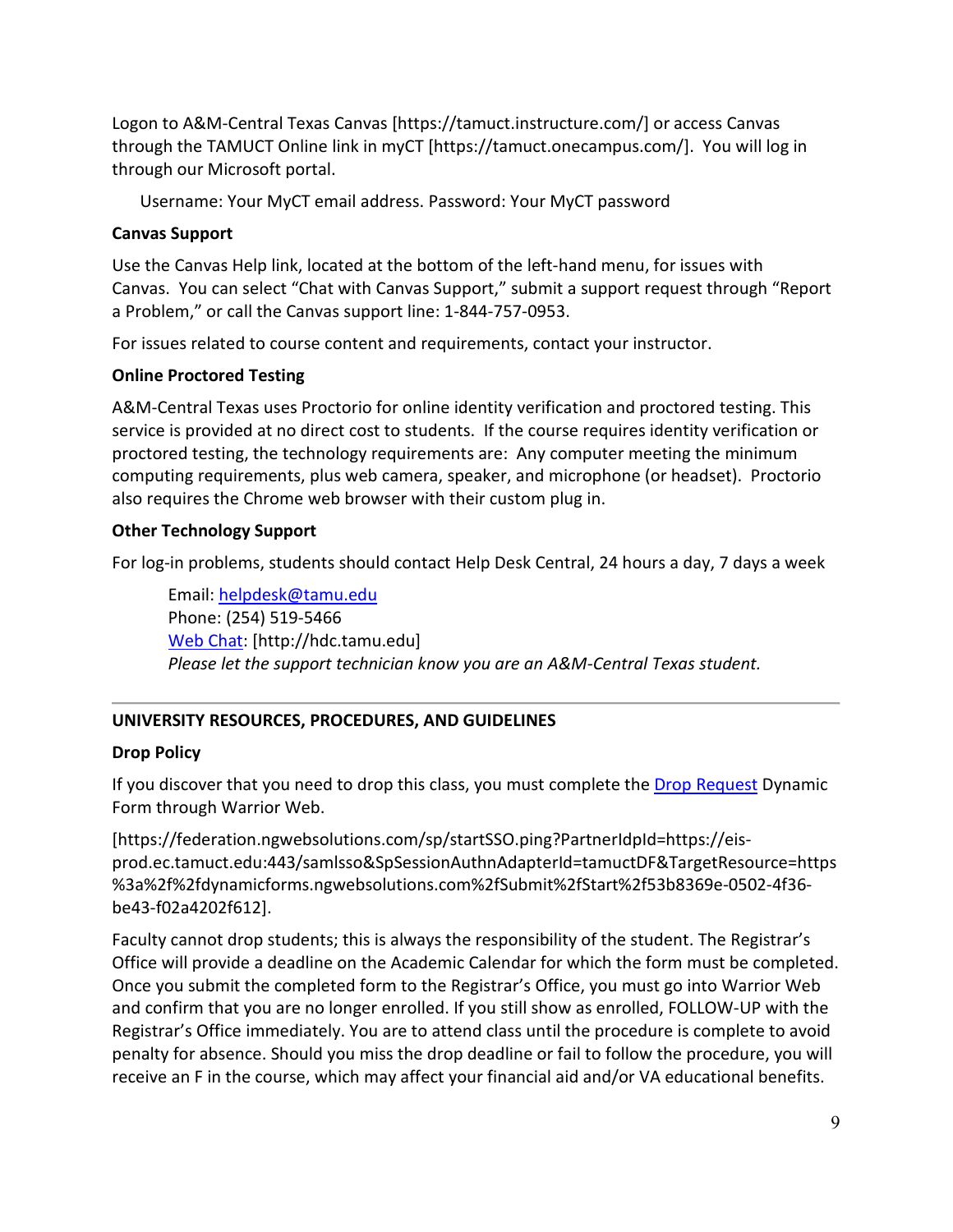Logon to A&M-Central Texas Canvas [https://tamuct.instructure.com/] or access Canvas through the TAMUCT Online link in myCT [https://tamuct.onecampus.com/]. You will log in through our Microsoft portal.

Username: Your MyCT email address. Password: Your MyCT password

#### **Canvas Support**

Use the Canvas Help link, located at the bottom of the left-hand menu, for issues with Canvas. You can select "Chat with Canvas Support," submit a support request through "Report a Problem," or call the Canvas support line: 1-844-757-0953.

For issues related to course content and requirements, contact your instructor.

### **Online Proctored Testing**

A&M-Central Texas uses Proctorio for online identity verification and proctored testing. This service is provided at no direct cost to students. If the course requires identity verification or proctored testing, the technology requirements are: Any computer meeting the minimum computing requirements, plus web camera, speaker, and microphone (or headset). Proctorio also requires the Chrome web browser with their custom plug in.

#### **Other Technology Support**

For log-in problems, students should contact Help Desk Central, 24 hours a day, 7 days a week

Email: [helpdesk@tamu.edu](mailto:helpdesk@tamu.edu) Phone: (254) 519-5466 [Web Chat:](http://hdc.tamu.edu/) [http://hdc.tamu.edu] *Please let the support technician know you are an A&M-Central Texas student.*

### **UNIVERSITY RESOURCES, PROCEDURES, AND GUIDELINES**

### **Drop Policy**

If you discover that you need to drop this class, you must complete the **Drop Request** Dynamic Form through Warrior Web.

[https://federation.ngwebsolutions.com/sp/startSSO.ping?PartnerIdpId=https://eisprod.ec.tamuct.edu:443/samlsso&SpSessionAuthnAdapterId=tamuctDF&TargetResource=https %3a%2f%2fdynamicforms.ngwebsolutions.com%2fSubmit%2fStart%2f53b8369e-0502-4f36 be43-f02a4202f612].

Faculty cannot drop students; this is always the responsibility of the student. The Registrar's Office will provide a deadline on the Academic Calendar for which the form must be completed. Once you submit the completed form to the Registrar's Office, you must go into Warrior Web and confirm that you are no longer enrolled. If you still show as enrolled, FOLLOW-UP with the Registrar's Office immediately. You are to attend class until the procedure is complete to avoid penalty for absence. Should you miss the drop deadline or fail to follow the procedure, you will receive an F in the course, which may affect your financial aid and/or VA educational benefits.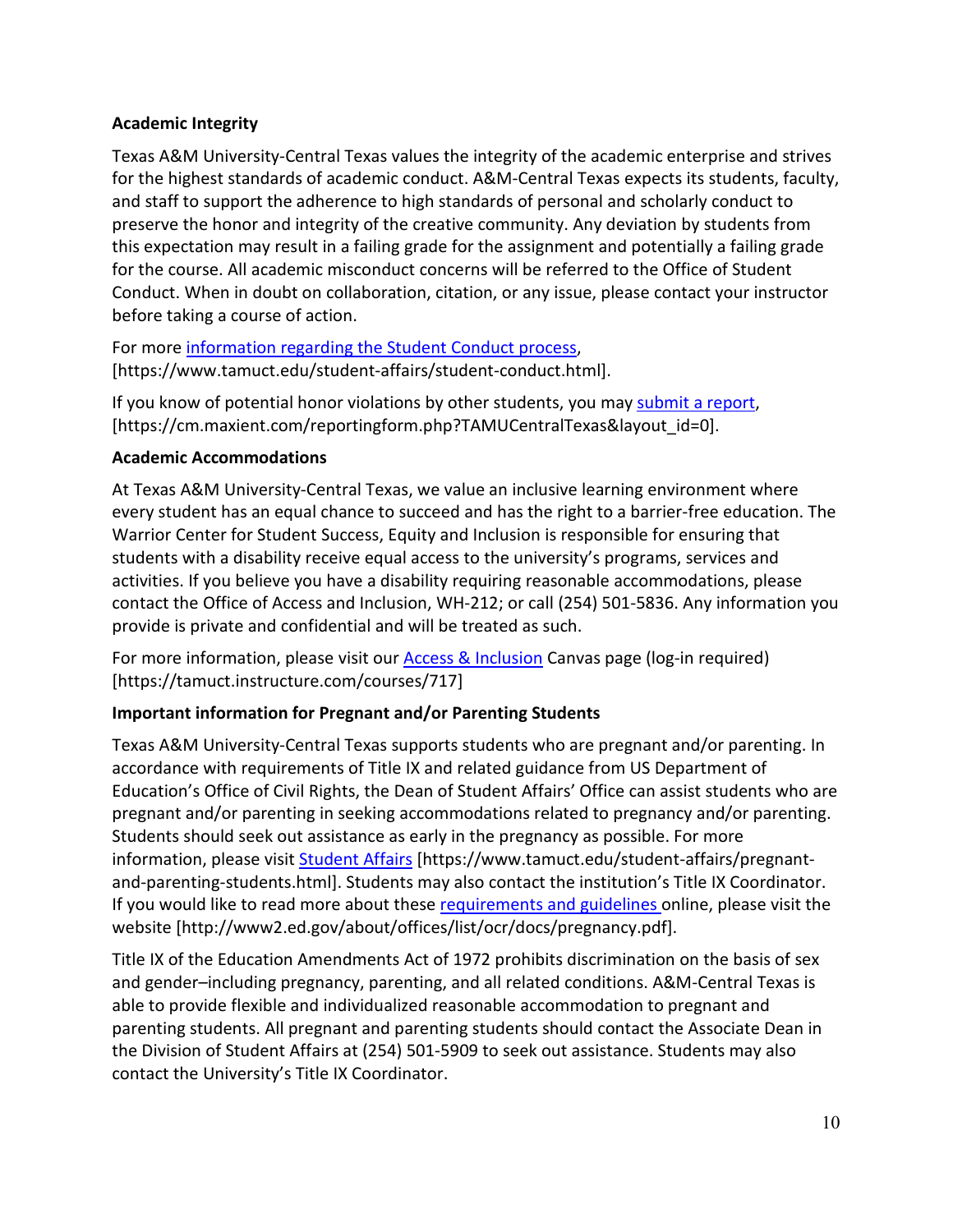## **Academic Integrity**

Texas A&M University-Central Texas values the integrity of the academic enterprise and strives for the highest standards of academic conduct. A&M-Central Texas expects its students, faculty, and staff to support the adherence to high standards of personal and scholarly conduct to preserve the honor and integrity of the creative community. Any deviation by students from this expectation may result in a failing grade for the assignment and potentially a failing grade for the course. All academic misconduct concerns will be referred to the Office of Student Conduct. When in doubt on collaboration, citation, or any issue, please contact your instructor before taking a course of action.

For more [information](https://nam04.safelinks.protection.outlook.com/?url=https%3A%2F%2Fwww.tamuct.edu%2Fstudent-affairs%2Fstudent-conduct.html&data=04%7C01%7Clisa.bunkowski%40tamuct.edu%7Ccfb6e486f24745f53e1a08d910055cb2%7C9eed4e3000f744849ff193ad8005acec%7C0%7C0%7C637558437485252160%7CUnknown%7CTWFpbGZsb3d8eyJWIjoiMC4wLjAwMDAiLCJQIjoiV2luMzIiLCJBTiI6Ik1haWwiLCJXVCI6Mn0%3D%7C1000&sdata=yjftDEVHvLX%2FhM%2FcFU0B99krV1RgEWR%2BJ%2BhvtoR6TYk%3D&reserved=0) regarding the Student Conduct process, [https://www.tamuct.edu/student-affairs/student-conduct.html].

If you know of potential honor violations by other students, you may [submit a report,](https://nam04.safelinks.protection.outlook.com/?url=https%3A%2F%2Fcm.maxient.com%2Freportingform.php%3FTAMUCentralTexas%26layout_id%3D0&data=04%7C01%7Clisa.bunkowski%40tamuct.edu%7Ccfb6e486f24745f53e1a08d910055cb2%7C9eed4e3000f744849ff193ad8005acec%7C0%7C0%7C637558437485262157%7CUnknown%7CTWFpbGZsb3d8eyJWIjoiMC4wLjAwMDAiLCJQIjoiV2luMzIiLCJBTiI6Ik1haWwiLCJXVCI6Mn0%3D%7C1000&sdata=CXGkOa6uPDPX1IMZ87z3aZDq2n91xfHKu4MMS43Ejjk%3D&reserved=0) [https://cm.maxient.com/reportingform.php?TAMUCentralTexas&layout\_id=0].

## **Academic Accommodations**

At Texas A&M University-Central Texas, we value an inclusive learning environment where every student has an equal chance to succeed and has the right to a barrier-free education. The Warrior Center for Student Success, Equity and Inclusion is responsible for ensuring that students with a disability receive equal access to the university's programs, services and activities. If you believe you have a disability requiring reasonable accommodations, please contact the Office of Access and Inclusion, WH-212; or call (254) 501-5836. Any information you provide is private and confidential and will be treated as such.

For more information, please visit our [Access & Inclusion](https://tamuct.instructure.com/courses/717) Canvas page (log-in required) [https://tamuct.instructure.com/courses/717]

## **Important information for Pregnant and/or Parenting Students**

Texas A&M University-Central Texas supports students who are pregnant and/or parenting. In accordance with requirements of Title IX and related guidance from US Department of Education's Office of Civil Rights, the Dean of Student Affairs' Office can assist students who are pregnant and/or parenting in seeking accommodations related to pregnancy and/or parenting. Students should seek out assistance as early in the pregnancy as possible. For more information, please visit [Student Affairs](https://www.tamuct.edu/student-affairs/pregnant-and-parenting-students.html) [https://www.tamuct.edu/student-affairs/pregnantand-parenting-students.html]. Students may also contact the institution's Title IX Coordinator. If you would like to read more about thes[e requirements and guidelines](http://www2.ed.gov/about/offices/list/ocr/docs/pregnancy.pdf) online, please visit the website [http://www2.ed.gov/about/offices/list/ocr/docs/pregnancy.pdf].

Title IX of the Education Amendments Act of 1972 prohibits discrimination on the basis of sex and gender–including pregnancy, parenting, and all related conditions. A&M-Central Texas is able to provide flexible and individualized reasonable accommodation to pregnant and parenting students. All pregnant and parenting students should contact the Associate Dean in the Division of Student Affairs at (254) 501-5909 to seek out assistance. Students may also contact the University's Title IX Coordinator.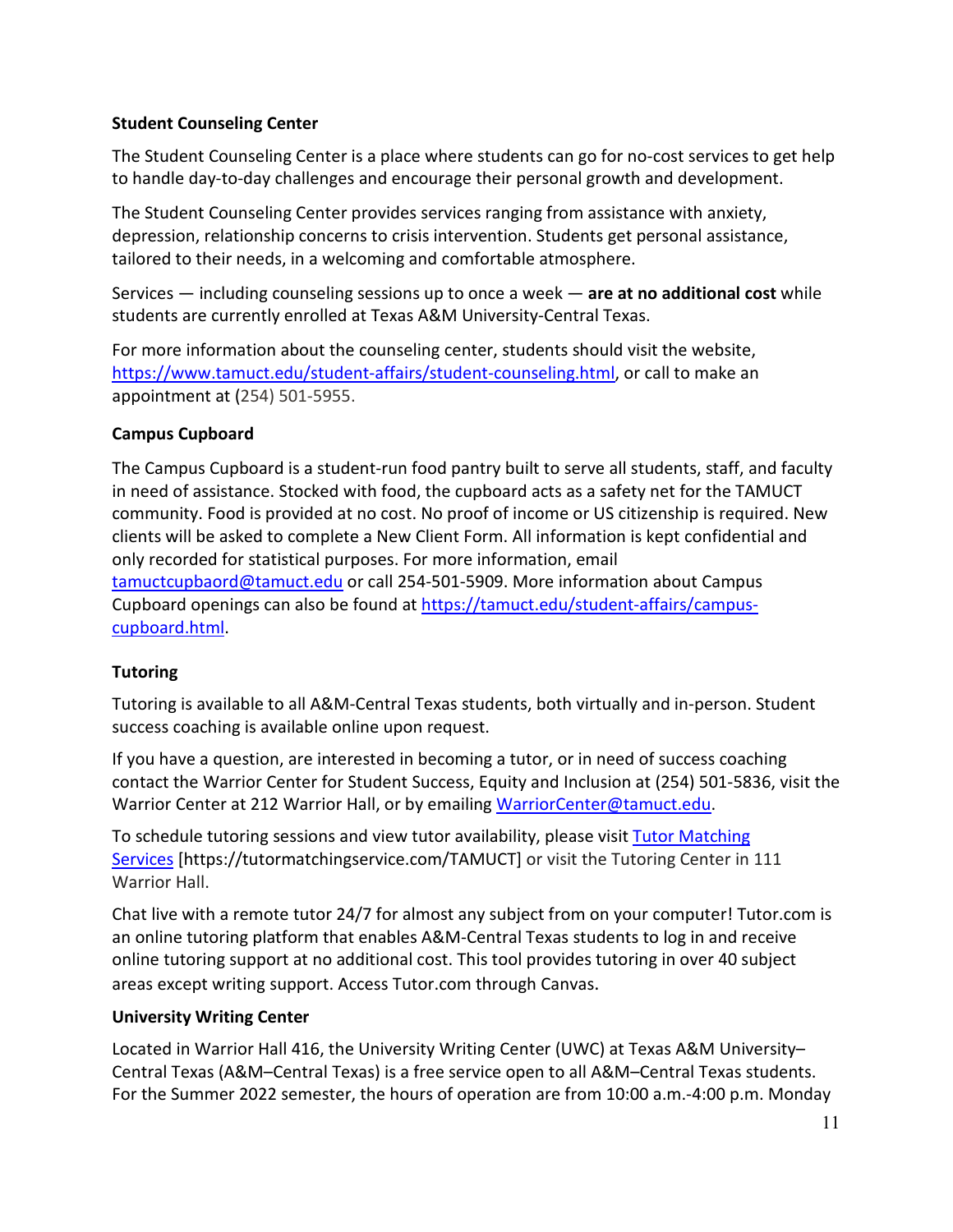### **Student Counseling Center**

The Student Counseling Center is a place where students can go for no-cost services to get help to handle day-to-day challenges and encourage their personal growth and development.

The Student Counseling Center provides services ranging from assistance with anxiety, depression, relationship concerns to crisis intervention. Students get personal assistance, tailored to their needs, in a welcoming and comfortable atmosphere.

Services — including counseling sessions up to once a week — **are at no additional cost** while students are currently enrolled at Texas A&M University-Central Texas.

For more information about the counseling center, students should visit the website, [https://www.tamuct.edu/student-affairs/student-counseling.html,](https://www.tamuct.edu/student-affairs/student-counseling.html) or call to make an appointment at (254) 501-5955.

### **Campus Cupboard**

The Campus Cupboard is a student-run food pantry built to serve all students, staff, and faculty in need of assistance. Stocked with food, the cupboard acts as a safety net for the TAMUCT community. Food is provided at no cost. No proof of income or US citizenship is required. New clients will be asked to complete a New Client Form. All information is kept confidential and only recorded for statistical purposes. For more information, email

[tamuctcupbaord@tamuct.edu](mailto:tamuctcupbaord@tamuct.edu) or call 254-501-5909. More information about Campus Cupboard openings can also be found at [https://tamuct.edu/student-affairs/campus](https://tamuct.edu/student-affairs/campus-cupboard.html)[cupboard.html.](https://tamuct.edu/student-affairs/campus-cupboard.html)

### **Tutoring**

Tutoring is available to all A&M-Central Texas students, both virtually and in-person. Student success coaching is available online upon request.

If you have a question, are interested in becoming a tutor, or in need of success coaching contact the Warrior Center for Student Success, Equity and Inclusion at (254) 501-5836, visit the Warrior Center at 212 Warrior Hall, or by emailing [WarriorCenter@tamuct.edu.](mailto:WarriorCenter@tamuct.edu)

To schedule tutoring sessions and view tutor availability, please visit Tutor [Matching](https://tutormatchingservice.com/TAMUCT) [Services](https://tutormatchingservice.com/TAMUCT) [https://tutormatchingservice.com/TAMUCT] or visit the Tutoring Center in 111 Warrior Hall.

Chat live with a remote tutor 24/7 for almost any subject from on your computer! Tutor.com is an online tutoring platform that enables A&M-Central Texas students to log in and receive online tutoring support at no additional cost. This tool provides tutoring in over 40 subject areas except writing support. Access Tutor.com through Canvas.

### **University Writing Center**

Located in Warrior Hall 416, the University Writing Center (UWC) at Texas A&M University– Central Texas (A&M–Central Texas) is a free service open to all A&M–Central Texas students. For the Summer 2022 semester, the hours of operation are from 10:00 a.m.-4:00 p.m. Monday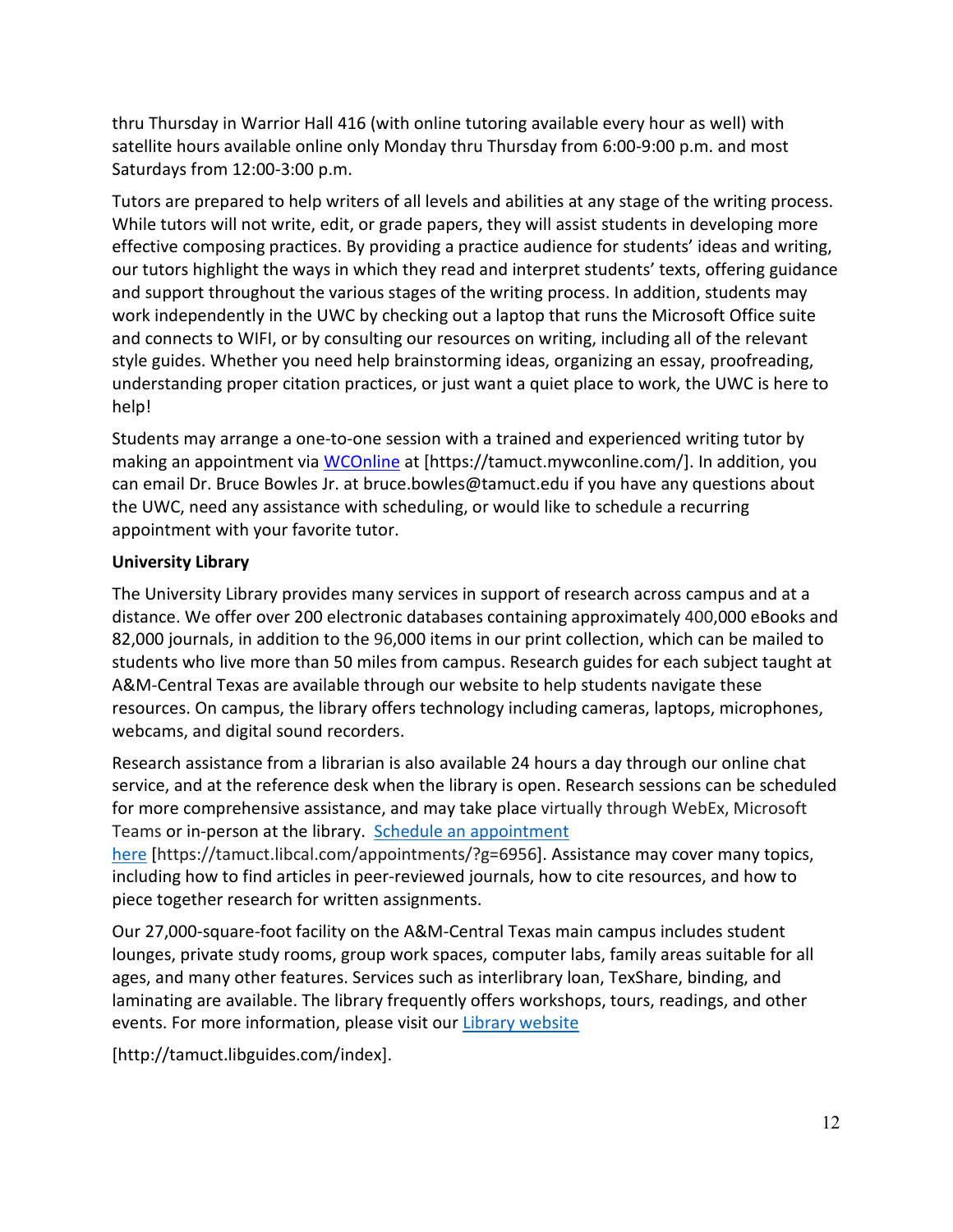thru Thursday in Warrior Hall 416 (with online tutoring available every hour as well) with satellite hours available online only Monday thru Thursday from 6:00-9:00 p.m. and most Saturdays from 12:00-3:00 p.m.

Tutors are prepared to help writers of all levels and abilities at any stage of the writing process. While tutors will not write, edit, or grade papers, they will assist students in developing more effective composing practices. By providing a practice audience for students' ideas and writing, our tutors highlight the ways in which they read and interpret students' texts, offering guidance and support throughout the various stages of the writing process. In addition, students may work independently in the UWC by checking out a laptop that runs the Microsoft Office suite and connects to WIFI, or by consulting our resources on writing, including all of the relevant style guides. Whether you need help brainstorming ideas, organizing an essay, proofreading, understanding proper citation practices, or just want a quiet place to work, the UWC is here to help!

Students may arrange a one-to-one session with a trained and experienced writing tutor by making an appointment via [WCOnline](https://tamuct.mywconline.com/) at [https://tamuct.mywconline.com/]. In addition, you can email Dr. Bruce Bowles Jr. at bruce.bowles@tamuct.edu if you have any questions about the UWC, need any assistance with scheduling, or would like to schedule a recurring appointment with your favorite tutor.

### **University Library**

The University Library provides many services in support of research across campus and at a distance. We offer over 200 electronic databases containing approximately 400,000 eBooks and 82,000 journals, in addition to the 96,000 items in our print collection, which can be mailed to students who live more than 50 miles from campus. Research guides for each subject taught at A&M-Central Texas are available through our website to help students navigate these resources. On campus, the library offers technology including cameras, laptops, microphones, webcams, and digital sound recorders.

Research assistance from a librarian is also available 24 hours a day through our online chat service, and at the reference desk when the library is open. Research sessions can be scheduled for more comprehensive assistance, and may take place virtually through WebEx, Microsoft Teams or in-person at the library. Schedule an [appointment](https://nam04.safelinks.protection.outlook.com/?url=https%3A%2F%2Ftamuct.libcal.com%2Fappointments%2F%3Fg%3D6956&data=04%7C01%7Clisa.bunkowski%40tamuct.edu%7Cde2c07d9f5804f09518008d9ab7ba6ff%7C9eed4e3000f744849ff193ad8005acec%7C0%7C0%7C637729369835011558%7CUnknown%7CTWFpbGZsb3d8eyJWIjoiMC4wLjAwMDAiLCJQIjoiV2luMzIiLCJBTiI6Ik1haWwiLCJXVCI6Mn0%3D%7C3000&sdata=KhtjgRSAw9aq%2FoBsB6wyu8b7PSuGN5EGPypzr3Ty2No%3D&reserved=0)

[here](https://nam04.safelinks.protection.outlook.com/?url=https%3A%2F%2Ftamuct.libcal.com%2Fappointments%2F%3Fg%3D6956&data=04%7C01%7Clisa.bunkowski%40tamuct.edu%7Cde2c07d9f5804f09518008d9ab7ba6ff%7C9eed4e3000f744849ff193ad8005acec%7C0%7C0%7C637729369835011558%7CUnknown%7CTWFpbGZsb3d8eyJWIjoiMC4wLjAwMDAiLCJQIjoiV2luMzIiLCJBTiI6Ik1haWwiLCJXVCI6Mn0%3D%7C3000&sdata=KhtjgRSAw9aq%2FoBsB6wyu8b7PSuGN5EGPypzr3Ty2No%3D&reserved=0) [https://tamuct.libcal.com/appointments/?g=6956]. Assistance may cover many topics, including how to find articles in peer-reviewed journals, how to cite resources, and how to piece together research for written assignments.

Our 27,000-square-foot facility on the A&M-Central Texas main campus includes student lounges, private study rooms, group work spaces, computer labs, family areas suitable for all ages, and many other features. Services such as interlibrary loan, TexShare, binding, and laminating are available. The library frequently offers workshops, tours, readings, and other events. For more information, please visit our Library website

[http://tamuct.libguides.com/index].